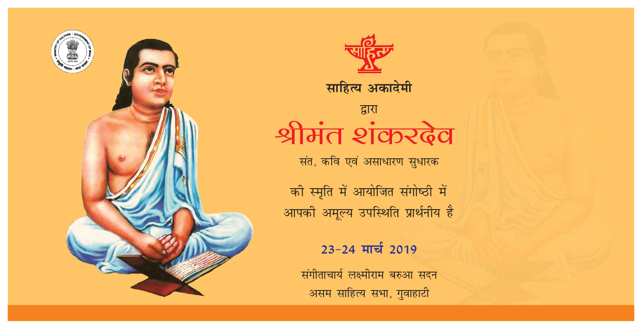





# द्वारा श्रीमंत शंकरढ़ेव

संत, कवि एवं असाधारण सुधारक

की स्मृति में आयोजित संगोष्ठी में आपकी अमूल्य उपस्थिति प्रार्थनीय है

23-24 मार्च 2019

संगीताचार्य लक्ष्मीराम बरुआ सदन असम साहित्य सभा, गुवाहाटी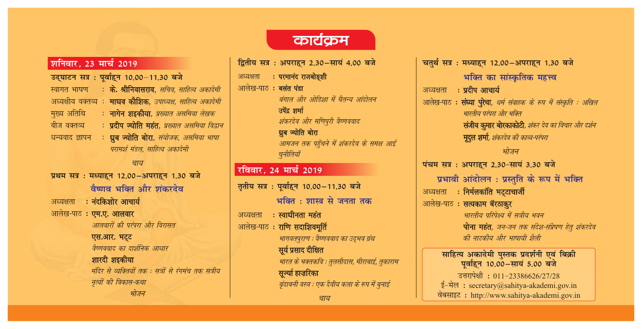### शनिवार, 23 मार्च 2019

उद्घाटन सत्र: पूर्वाहन 10.00-11.30 बजे स्वागत भाषण : के. श्रीनिवासराव, सचिव, साहित्य अकादेमी अध्यक्षीय वक्तव्य : माधव कौशिक, उपाध्यक्ष, साहित्य अकादेमी मुख्य अतिथि ः **नागेन शइकीया**, *प्रख्यात असमिया लेखक* : प्रदीप ज्योति महंत, प्रख्यात असमिया विद्वान बीज वक्तव्य धन्यवाद ज्ञापन : ध्रुब ज्योति बोरा, संयोजक, असमिया भाषा परामर्श मंडल. साहित्य अकादेमी

#### चाय

प्रथम सत्र: मध्याहन 12.00-अपराहन 1.30 बजे वैष्णव भक्ति और शंकरदेव

: नंदकिशोर आचार्य अध्यक्षता

आलेख-पाठ: एम.ए. आलवार

आलवारों की परंपरा और विरासत

### एस.आर. भट्ट

वैष्णववाद का दार्शनिक आधार

शारदी शइकीया मंदिर से व्यक्तियों तक : सत्रों से रंगमंच तक सत्रीय नृत्यों की विकास-कथा भोजन

## कार्यक्रम

द्वितीय सत्र: अपराहन 2.30-सायं 4.00 बजे अध्यक्षता : परमानंद राजबोङ्शी आलेख-पाठ: बसंत पंडा बंगाल और ओडिशा में चैतन्य आंदोलन उपेंद्र शर्मा शंकरदेव और मणिपुरी वैष्णववाद ध्रुब ज्योति बोरा आमजन तक पहुँचने में शंकरदेव के समक्ष आईं चुनौतियाँ रविवार, 24 मार्च 2019 तृतीय सत्र: पूर्वाहुन 10.00-11.30 बजे भक्ति : शास्त्र से जनता तक ः स्वाधीनता महंत अध्यक्षता आलेख-पाठ: राणि सदाशिवमूर्ति भागवतपुराण : वैष्णववाद का उद्भव ग्रंथ सूर्य प्रसाद दीक्षित भारत के भक्तकवि : तुलसीदास, मीराबाई, तुकाराम सुर्ज्या हाजरिका बुंदाबनी वस्त्र : एक दैवीय कला के रूप में बनाई चाय

चतुर्थं सत्र: मध्याहुन 12.00-अपराहुन 1.30 बजे भक्ति का सांस्कृतिक महत्त्व अध्यक्षता : प्रदीप आचार्य आलेख-पाठ : **संध्या पुरेचा**, *धर्म संवाहक के रूप में संस्कृति : अखिल* भारतीय परंपरा और भक्ति संजीव कुमार बोरकाकोटी, शंकर देव का विचार और दर्शन मूदुल शर्मा, शंकरदेव की काव्य-परंपरा भोजन पंचम सत्र: अपराहन 2.30-सायं 3.30 बजे प्रभावी आंदोलन: प्रस्तुति के रूप में भक्ति अध्यक्षता : निर्मलकांति भट्टाचार्जी आलेख-पाठ: सत्यकाम बॅरठाकुर भारतीय परिपेक्ष्य में सत्रीय भवन पोना महंत, जन-जन तक संदेश-संप्रेषण हेतु शंकरदेव की नाटकीय और भाषायी शैली साहित्य अकादेमी पुस्तक प्रदर्शनी एवं बिक्री<br>पूर्वाहन 10.00–सायं 5.00 बजे उत्तरापेक्षी: 011-23386626/27/28 ई-मेल : secretary@sahitya-akademi.gov.in

वेबसाइट: http://www.sahitya-akademi.gov.in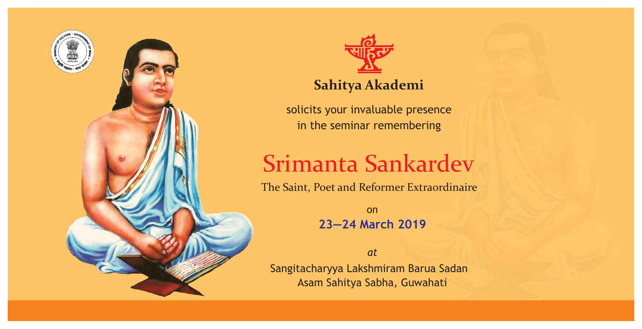



# **Sahitya Akademi**

solicits your invaluable presence in the seminar remembering

# Srimanta Sankardev

The Saint, Poet and Reformer Extraordinaire

on **23—24 March 2019**

*at* Sangitacharyya Lakshmiram Barua Sadan Asam Sahitya Sabha, Guwahati